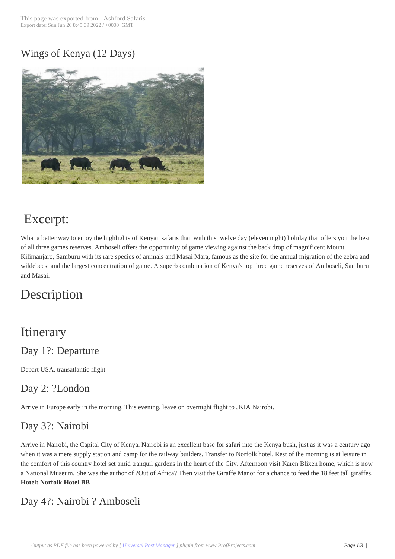#### Wings of Kenya (1[2 Days\)](http://192.81.129.179/?post_type=product&p=456)



# Excerpt:

What a better way to enjoy the highlights of Kenyan safaris than with this twelve day (eleven night) holiday that offers you the best of all three games reserves. Amboseli offers the opportunity of game viewing against the back drop of magnificent Mount Kilimanjaro, Samburu with its rare species of animals and Masai Mara, famous as the site for the annual migration of the zebra and wildebeest and the largest concentration of game. A superb combination of Kenya's top three game reserves of Amboseli, Samburu and Masai.

# Description

# **Itinerary**

#### Day 1?: Departure

Depart USA, transatlantic flight

#### Day 2: ?London

Arrive in Europe early in the morning. This evening, leave on overnight flight to JKIA Nairobi.

#### Day 3?: Nairobi

Arrive in Nairobi, the Capital City of Kenya. Nairobi is an excellent base for safari into the Kenya bush, just as it was a century ago when it was a mere supply station and camp for the railway builders. Transfer to Norfolk hotel. Rest of the morning is at leisure in the comfort of this country hotel set amid tranquil gardens in the heart of the City. Afternoon visit Karen Blixen home, which is now a National Museum. She was the author of ?Out of Africa? Then visit the Giraffe Manor for a chance to feed the 18 feet tall giraffes. **Hotel: Norfolk Hotel BB**

# Day 4?: Nairobi ? Amboseli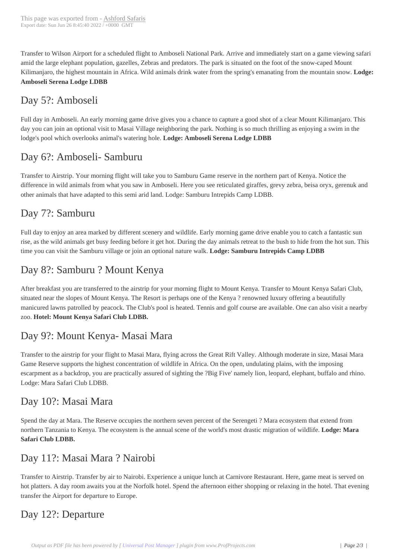Transfer to Wilson Airport for [a scheduled fligh](http://192.81.129.179/?post_type=product&p=456)t to Amboseli National Park. Arrive and immediately start on a game viewing safari amid the large elephant population, gazelles, Zebras and predators. The park is situated on the foot of the snow-caped Mount Kilimanjaro, the highest mountain in Africa. Wild animals drink water from the spring's emanating from the mountain snow. **Lodge: Amboseli Serena Lodge LDBB**

### Day 5?: Amboseli

Full day in Amboseli. An early morning game drive gives you a chance to capture a good shot of a clear Mount Kilimanjaro. This day you can join an optional visit to Masai Village neighboring the park. Nothing is so much thrilling as enjoying a swim in the lodge's pool which overlooks animal's watering hole. **Lodge: Amboseli Serena Lodge LDBB**

### Day 6?: Amboseli- Samburu

Transfer to Airstrip. Your morning flight will take you to Samburu Game reserve in the northern part of Kenya. Notice the difference in wild animals from what you saw in Amboseli. Here you see reticulated giraffes, grevy zebra, beisa oryx, gerenuk and other animals that have adapted to this semi arid land. Lodge: Samburu Intrepids Camp LDBB.

# Day 7?: Samburu

Full day to enjoy an area marked by different scenery and wildlife. Early morning game drive enable you to catch a fantastic sun rise, as the wild animals get busy feeding before it get hot. During the day animals retreat to the bush to hide from the hot sun. This time you can visit the Samburu village or join an optional nature walk. **Lodge: Samburu Intrepids Camp LDBB**

# Day 8?: Samburu ? Mount Kenya

After breakfast you are transferred to the airstrip for your morning flight to Mount Kenya. Transfer to Mount Kenya Safari Club, situated near the slopes of Mount Kenya. The Resort is perhaps one of the Kenya ? renowned luxury offering a beautifully manicured lawns patrolled by peacock. The Club's pool is heated. Tennis and golf course are available. One can also visit a nearby zoo. **Hotel: Mount Kenya Safari Club LDBB.**

# Day 9?: Mount Kenya- Masai Mara

Transfer to the airstrip for your flight to Masai Mara, flying across the Great Rift Valley. Although moderate in size, Masai Mara Game Reserve supports the highest concentration of wildlife in Africa. On the open, undulating plains, with the imposing escarpment as a backdrop, you are practically assured of sighting the ?Big Five' namely lion, leopard, elephant, buffalo and rhino. Lodge: Mara Safari Club LDBB.

#### Day 10?: Masai Mara

Spend the day at Mara. The Reserve occupies the northern seven percent of the Serengeti ? Mara ecosystem that extend from northern Tanzania to Kenya. The ecosystem is the annual scene of the world's most drastic migration of wildlife. **Lodge: Mara Safari Club LDBB.**

#### Day 11?: Masai Mara ? Nairobi

Transfer to Airstrip. Transfer by air to Nairobi. Experience a unique lunch at Carnivore Restaurant. Here, game meat is served on hot platters. A day room awaits you at the Norfolk hotel. Spend the afternoon either shopping or relaxing in the hotel. That evening transfer the Airport for departure to Europe.

# Day 12?: Departure